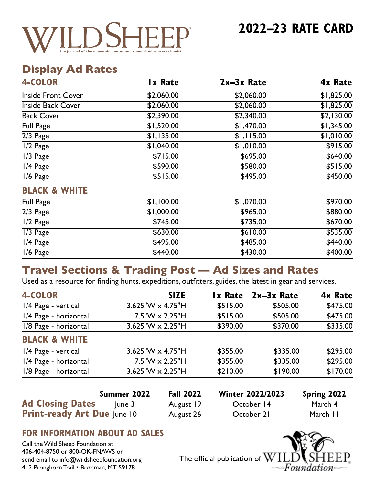

® **2022–23 RATE CARD**

## **Display Ad Rates**

| <b>4-COLOR</b>            | <b>Ix Rate</b> | $2x-3x$ Rate | 4x Rate    |
|---------------------------|----------------|--------------|------------|
| <b>Inside Front Cover</b> | \$2,060.00     | \$2,060.00   | \$1,825.00 |
| <b>Inside Back Cover</b>  | \$2,060.00     | \$2,060.00   | \$1,825.00 |
| <b>Back Cover</b>         | \$2,390.00     | \$2,340.00   | \$2,130.00 |
| <b>Full Page</b>          | \$1,520.00     | \$1,470.00   | \$1,345.00 |
| $2/3$ Page                | \$1,135.00     | \$1,115.00   | \$1,010.00 |
| 1/2 Page                  | \$1,040.00     | \$1,010.00   | \$915.00   |
| $1/3$ Page                | \$715.00       | \$695.00     | \$640.00   |
| $1/4$ Page                | \$590.00       | \$580.00     | \$515.00   |
| $1/6$ Page                | \$515.00       | \$495.00     | \$450.00   |
| <b>BLACK &amp; WHITE</b>  |                |              |            |
| <b>Full Page</b>          | \$1,100.00     | \$1,070.00   | \$970.00   |
| 2/3 Page                  | \$1,000.00     | \$965.00     | \$880.00   |
| $\overline{1/2}$ Page     | \$745.00       | \$735.00     | \$670.00   |
| 1/3 Page                  | \$630.00       | \$610.00     | \$535.00   |
| 1/4 Page                  | \$495.00       | \$485.00     | \$440.00   |
| 1/6 Page                  | \$440.00       | \$430.00     | \$400.00   |

## **Travel Sections & Trading Post — Ad Sizes and Rates**

Used as a resource for finding hunts, expeditions, outfitters, guides, the latest in gear and services.

| <b>4-COLOR</b>           | <b>SIZE</b>                |          | Ix Rate 2x-3x Rate | 4x Rate  |
|--------------------------|----------------------------|----------|--------------------|----------|
| 1/4 Page - vertical      | 3.625"W x 4.75"H           | \$515.00 | \$505.00           | \$475.00 |
| 1/4 Page - horizontal    | $7.5$ "W $\times$ 2.25"H   | \$515.00 | \$505.00           | \$475.00 |
| 1/8 Page - horizontal    | $3.625$ "W $\times$ 2.25"H | \$390.00 | \$370.00           | \$335.00 |
| <b>BLACK &amp; WHITE</b> |                            |          |                    |          |
| 1/4 Page - vertical      | $3.625$ "W $\times$ 4.75"H | \$355.00 | \$335.00           | \$295.00 |
| 1/4 Page - horizontal    | $7.5$ "W $\times$ 2.25"H   | \$355.00 | \$335.00           | \$295.00 |
| 1/8 Page - horizontal    | $3.625$ "W $\times$ 2.25"H | \$210.00 | \$190.00           | \$170.00 |
|                          |                            |          |                    |          |

|                                    | Summer 2022 | <b>Fall 2022</b> | <b>Winter 2022/2023</b> | <b>Spring 2022</b> |
|------------------------------------|-------------|------------------|-------------------------|--------------------|
| <b>Ad Closing Dates</b>            | lune 3      | August 19        | October 14              | March 4            |
| <b>Print-ready Art Due June 10</b> |             | August 26        | October 21              | March 11           |

### **FOR INFORMATION ABOUT AD SALES**

Call the Wild Sheep Foundation at 406-404-8750 or 800-OK-FNAWS or send email to info@wildsheepfoundation.org 412 Pronghorn Trail • Bozeman, MT 59178

The official publication of  $\rm W$ ∍Founà